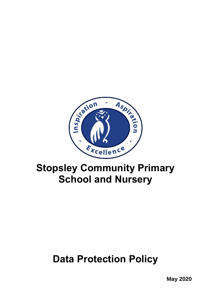

# **Stopsley Community Primary School and Nursery**

# **Data Protection Policy**

**May 2020**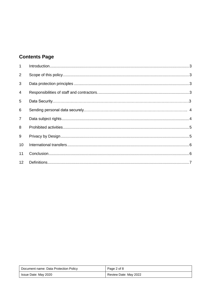## **Contents Page**

| $\mathbf{1}$   |  |
|----------------|--|
| 2              |  |
| 3              |  |
| 4              |  |
| 5              |  |
| 6              |  |
| $\overline{7}$ |  |
| 8              |  |
| 9              |  |
| 10             |  |
| 11             |  |
| 12             |  |

| Document name: Data Protection Policy | Page 2 of 8           |
|---------------------------------------|-----------------------|
| Issue Date: May 2020                  | Review Date: May 2022 |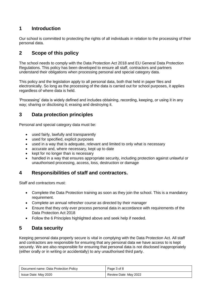### <span id="page-2-0"></span>**1 Introduction**

Our school is committed to protecting the rights of all individuals in relation to the processing of their personal data.

### <span id="page-2-1"></span>**2 Scope of this policy**

The school needs to comply with the Data Protection Act 2018 and EU General Data Protection Regulations. This policy has been developed to ensure all staff, contractors and partners understand their obligations when processing personal and special category data.

This policy and the legislation apply to all personal data, both that held in paper files and electronically. So long as the processing of the data is carried out for school purposes, it applies regardless of where data is held.

'Processing' data is widely defined and includes obtaining, recording, keeping, or using it in any way; sharing or disclosing it; erasing and destroying it.

#### <span id="page-2-2"></span>**3 Data protection principles**

Personal and special category data must be:

- used fairly, lawfully and transparently
- <span id="page-2-3"></span>used for specified, explicit purposes
- used in a way that is adequate, relevant and limited to only what is necessary
- accurate and, where necessary, kept up to date
- kept for no longer than is necessary
- handled in a way that ensures appropriate security, including protection against unlawful or unauthorised processing, access, loss, destruction or damage

#### **4 Responsibilities of staff and contractors.**

Staff and contractors must:

- Complete the Data Protection training as soon as they join the school. This is a mandatory requirement.
- Complete an annual refresher course as directed by their manager
- Ensure that they only ever process personal data in accordance with requirements of the Data Protection Act 2018
- Follow the 6 Principles highlighted above and seek help if needed.

### <span id="page-2-4"></span>**5 Data security**

Keeping personal data properly secure is vital in complying with the Data Protection Act. All staff and contractors are responsible for ensuring that any personal data we have access to is kept securely. We are also responsible for ensuring that personal data is not disclosed inappropriately (either orally or in writing or accidentally) to any unauthorised third party.

| Document name: Data Protection Policy | Page 3 of 8           |
|---------------------------------------|-----------------------|
| Issue Date: May 2020                  | Review Date: May 2022 |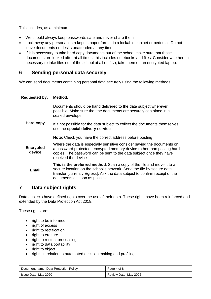This includes, as a minimum:

- We should always keep passwords safe and never share them
- Lock away any personal data kept in paper format in a lockable cabinet or pedestal. Do not leave documents on desks unattended at any time
- If it is necessary to take hard copy documents out of the school make sure that those documents are looked after at all times, this includes notebooks and files. Consider whether it is necessary to take files out of the school at all or if so, take them on an encrypted laptop.

#### <span id="page-3-0"></span>**6 Sending personal data securely**

We can send documents containing personal data securely using the following methods:

| <b>Requested by:</b>       | Method:                                                                                                                                                                                                                                                         |
|----------------------------|-----------------------------------------------------------------------------------------------------------------------------------------------------------------------------------------------------------------------------------------------------------------|
|                            | Documents should be hand delivered to the data subject wherever<br>possible. Make sure that the documents are securely contained in a<br>sealed envelope.                                                                                                       |
| Hard copy                  | If it not possible for the data subject to collect the documents themselves<br>use the special delivery service.<br><b>Note:</b> Check you have the correct address before posting                                                                              |
|                            |                                                                                                                                                                                                                                                                 |
| <b>Encrypted</b><br>device | Where the data is especially sensitive consider saving the documents on<br>a password protected, encrypted memory device rather than posting hard<br>copies. The password can be sent to the data subject once they have<br>received the device.                |
| Email                      | This is the preferred method. Scan a copy of the file and move it to a<br>secure location on the school's network. Send the file by secure data<br>transfer [currently Egress]. Ask the data subject to confirm receipt of the<br>documents as soon as possible |

#### <span id="page-3-1"></span>**7 Data subject rights**

Data subjects have defined rights over the use of their data. These rights have been reinforced and extended by the Data Protection Act 2018.

These rights are:

- right to be informed
- right of access
- right to rectification
- right to erasure
- right to restrict processing
- right to data portability
- right to object
- rights in relation to automated decision making and profiling.

| Document name: Data Protection Policy | Page 4 of 8           |
|---------------------------------------|-----------------------|
| Issue Date: May 2020                  | Review Date: May 2022 |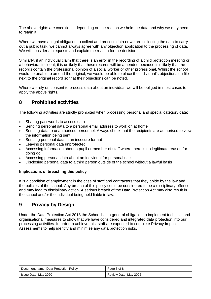The above rights are conditional depending on the reason we hold the data and why we may need to retain it.

Where we have a legal obligation to collect and process data or we are collecting the data to carry out a public task, we cannot always agree with any objection application to the processing of data. We will consider all requests and explain the reason for the decision.

Similarly, if an individual claim that there is an error in the recording of a child protection meeting or a behavioral incident, it is unlikely that these records will be amended because it is likely that the records contain the professional opinion of a social worker or other professional. Whilst the school would be unable to amend the original, we would be able to place the individual's objections on file next to the original record so that their objections can be noted.

Where we rely on consent to process data about an individual we will be obliged in most cases to apply the above rights.

#### <span id="page-4-0"></span>**8 Prohibited activities**

The following activities are strictly prohibited when processing personal and special category data:

- Sharing passwords to access data
- Sending personal data to a personal email address to work on at home
- Sending data to unauthorised personnel. Always check that the recipients are authorised to view the information being sent
- Sending personal data in an insecure format
- Leaving personal data unprotected
- Accessing information about a pupil or member of staff where there is no legitimate reason for doing do
- Accessing personal data about an individual for personal use
- Disclosing personal data to a third person outside of the school without a lawful basis

#### **Implications of breaching this policy**

It is a condition of employment in the case of staff and contractors that they abide by the law and the policies of the school. Any breach of this policy could be considered to be a disciplinary offence and may lead to disciplinary action. A serious breach of the Data Protection Act may also result in the school and/or the individual being held liable in law.

#### <span id="page-4-1"></span>**9 Privacy by Design**

Under the Data Protection Act 2018 the School has a general obligation to implement technical and organisational measures to show that we have considered and integrated data protection into our processing activities. In order to achieve this, staff are expected to complete Privacy Impact Assessments to help identify and minimise any data protection risks.

| Document name: Data Protection Policy | Page 5 of 8           |
|---------------------------------------|-----------------------|
| Issue Date: May 2020                  | Review Date: May 2022 |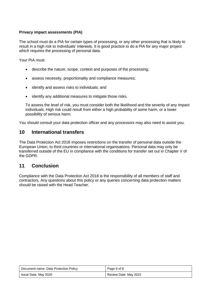#### **Privacy impact assessments (PIA)**

The school must do a PIA for certain types of processing, or any other processing that is likely to result in a high risk to individuals' interests. It is good practice to do a PIA for any major project which requires the processing of personal data.

Your PIA must:

- <span id="page-5-0"></span>describe the nature, scope, context and purposes of the processing;
- assess necessity, proportionality and compliance measures;
- identify and assess risks to individuals; and
- identify any additional measures to mitigate those risks.

To assess the level of risk, you must consider both the likelihood and the severity of any impact individuals. High risk could result from either a high probability of some harm, or a lower possibility of serious harm.

You should consult your data protection officer and any processors may also need to assist you.

#### **10 International transfers**

The Data Protection Act 2018 imposes restrictions on the transfer of personal data outside the European Union, to third countries or international organisations. Personal data may only be transferred outside of the EU in compliance with the conditions for transfer set out in Chapter V of the GDPR.

#### <span id="page-5-1"></span>**11 Conclusion**

Compliance with the Data Protection Act 2018 is the responsibility of all members of staff and contractors. Any questions about this policy or any queries concerning data protection matters should be raised with the Head Teacher.

| Document name: Data Protection Policy | Page 6 of 8           |
|---------------------------------------|-----------------------|
| Issue Date: May 2020                  | Review Date: May 2022 |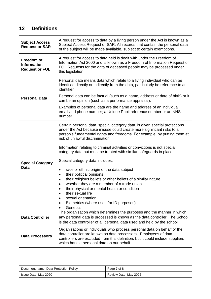## <span id="page-6-0"></span>**12 Definitions**

| <b>Subject Access</b><br><b>Request or SAR</b>             | A request for access to data by a living person under the Act is known as a<br>Subject Access Request or SAR. All records that contain the personal data<br>of the subject will be made available, subject to certain exemptions.                                        |
|------------------------------------------------------------|--------------------------------------------------------------------------------------------------------------------------------------------------------------------------------------------------------------------------------------------------------------------------|
| Freedom of<br><b>Information</b><br><b>Request or FOI.</b> | A request for access to data held is dealt with under the Freedom of<br>Information Act 2000 and is known as a Freedom of Information Request or<br>FOI. Requests for the data of deceased people may be processed under<br>this legislation.                            |
|                                                            | Personal data means data which relate to a living individual who can be<br>identified directly or indirectly from the data, particularly be reference to an<br>identifier.                                                                                               |
| <b>Personal Data</b>                                       | Personal data can be factual (such as a name, address or date of birth) or it<br>can be an opinion (such as a performance appraisal).                                                                                                                                    |
|                                                            | Examples of personal data are the name and address of an individual;<br>email and phone number; a Unique Pupil reference number or an NHS<br>number                                                                                                                      |
|                                                            | Certain personal data, special category data, is given special protections<br>under the Act because misuse could create more significant risks to a<br>person's fundamental rights and freedoms. For example, by putting them at<br>risk of unlawful discrimination.     |
|                                                            | Information relating to criminal activities or convictions is not special<br>category data but must be treated with similar safeguards in place.                                                                                                                         |
| <b>Special Category</b>                                    | Special category data includes:                                                                                                                                                                                                                                          |
| Data                                                       | race or ethnic origin of the data subject<br>$\bullet$<br>their political opinions<br>٠                                                                                                                                                                                  |
|                                                            | their religious beliefs or other beliefs of a similar nature<br>٠                                                                                                                                                                                                        |
|                                                            | whether they are a member of a trade union<br>$\bullet$<br>their physical or mental health or condition                                                                                                                                                                  |
|                                                            | their sexual life<br>sexual orientation                                                                                                                                                                                                                                  |
|                                                            | ٠<br>Biometrics (where used for ID purposes)<br>$\bullet$<br>Genetics<br>$\bullet$                                                                                                                                                                                       |
| <b>Data Controller</b>                                     | The organisation which determines the purposes and the manner in which,<br>any personal data is processed is known as the data controller. The School<br>is the data controller of all personal data used and held by the school.                                        |
| <b>Data Processors</b>                                     | Organisations or individuals who process personal data on behalf of the<br>data controller are known as data processors. Employees of data<br>controllers are excluded from this definition, but it could include suppliers<br>which handle personal data on our behalf. |

| Document name: Data Protection Policy | Page 7 of 8           |
|---------------------------------------|-----------------------|
| Issue Date: May 2020                  | Review Date: May 2022 |